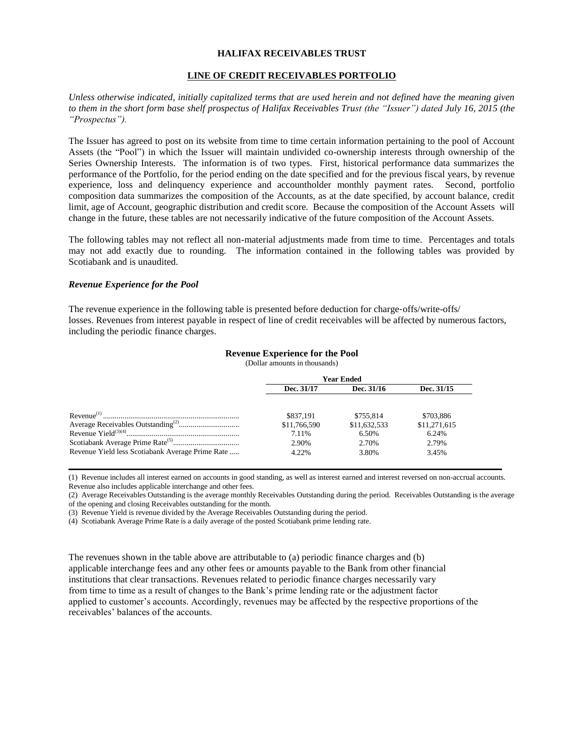### **HALIFAX RECEIVABLES TRUST**

#### **LINE OF CREDIT RECEIVABLES PORTFOLIO**

*Unless otherwise indicated, initially capitalized terms that are used herein and not defined have the meaning given to them in the short form base shelf prospectus of Halifax Receivables Trust (the "Issuer") dated July 16, 2015 (the "Prospectus").*

The Issuer has agreed to post on its website from time to time certain information pertaining to the pool of Account Assets (the "Pool") in which the Issuer will maintain undivided co-ownership interests through ownership of the Series Ownership Interests. The information is of two types. First, historical performance data summarizes the performance of the Portfolio, for the period ending on the date specified and for the previous fiscal years, by revenue experience, loss and delinquency experience and accountholder monthly payment rates. Second, portfolio composition data summarizes the composition of the Accounts, as at the date specified, by account balance, credit limit, age of Account, geographic distribution and credit score. Because the composition of the Account Assets will change in the future, these tables are not necessarily indicative of the future composition of the Account Assets.

The following tables may not reflect all non-material adjustments made from time to time. Percentages and totals may not add exactly due to rounding. The information contained in the following tables was provided by Scotiabank and is unaudited.

#### *Revenue Experience for the Pool*

The revenue experience in the following table is presented before deduction for charge‐offs/write-offs/ losses. Revenues from interest payable in respect of line of credit receivables will be affected by numerous factors, including the periodic finance charges.

#### **Revenue Experience for the Pool**

(Dollar amounts in thousands)

|                                                  | Year Ended   |              |              |
|--------------------------------------------------|--------------|--------------|--------------|
|                                                  | Dec. 31/17   | Dec. 31/16   | Dec. 31/15   |
|                                                  |              |              |              |
|                                                  | \$837.191    | \$755.814    | \$703,886    |
|                                                  | \$11,766,590 | \$11,632,533 | \$11,271,615 |
|                                                  | 7.11%        | 6.50%        | 6.24%        |
|                                                  | 2.90%        | 2.70%        | 2.79%        |
| Revenue Yield less Scotiabank Average Prime Rate | 4.22%        | 3.80%        | 3.45%        |

(1) Revenue includes all interest earned on accounts in good standing, as well as interest earned and interest reversed on non-accrual accounts. Revenue also includes applicable interchange and other fees.

(2) Average Receivables Outstanding is the average monthly Receivables Outstanding during the period. Receivables Outstanding is the average of the opening and closing Receivables outstanding for the month.

(3) Revenue Yield is revenue divided by the Average Receivables Outstanding during the period.

(4) Scotiabank Average Prime Rate is a daily average of the posted Scotiabank prime lending rate.

The revenues shown in the table above are attributable to (a) periodic finance charges and (b) applicable interchange fees and any other fees or amounts payable to the Bank from other financial institutions that clear transactions. Revenues related to periodic finance charges necessarily vary from time to time as a result of changes to the Bank's prime lending rate or the adjustment factor applied to customer's accounts. Accordingly, revenues may be affected by the respective proportions of the receivables' balances of the accounts.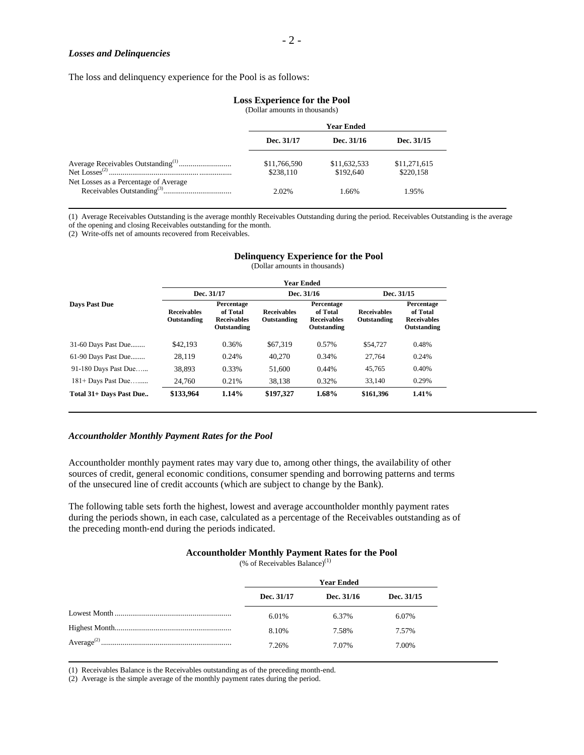#### *Losses and Delinquencies*

The loss and delinquency experience for the Pool is as follows:

#### **Loss Experience for the Pool**

(Dollar amounts in thousands)

|                                       | <b>Year Ended</b>         |                           |                           |
|---------------------------------------|---------------------------|---------------------------|---------------------------|
|                                       | Dec. 31/17                | Dec. 31/16                | Dec. 31/15                |
|                                       | \$11,766,590<br>\$238.110 | \$11,632,533<br>\$192,640 | \$11,271,615<br>\$220.158 |
| Net Losses as a Percentage of Average | 2.02%                     | 1.66%                     | 1.95%                     |

(1) Average Receivables Outstanding is the average monthly Receivables Outstanding during the period. Receivables Outstanding is the average of the opening and closing Receivables outstanding for the month.

(2) Write-offs net of amounts recovered from Receivables.

|                         | (Dollar amounts in thousands)     |                                                             |                                   |                                                             |                                   |                                                             |
|-------------------------|-----------------------------------|-------------------------------------------------------------|-----------------------------------|-------------------------------------------------------------|-----------------------------------|-------------------------------------------------------------|
|                         | <b>Year Ended</b>                 |                                                             |                                   |                                                             |                                   |                                                             |
|                         | Dec. 31/17                        |                                                             | Dec. 31/16                        |                                                             | Dec. 31/15                        |                                                             |
| <b>Days Past Due</b>    | <b>Receivables</b><br>Outstanding | Percentage<br>of Total<br><b>Receivables</b><br>Outstanding | <b>Receivables</b><br>Outstanding | Percentage<br>of Total<br><b>Receivables</b><br>Outstanding | <b>Receivables</b><br>Outstanding | Percentage<br>of Total<br><b>Receivables</b><br>Outstanding |
| 31-60 Days Past Due     | \$42,193                          | 0.36%                                                       | \$67,319                          | 0.57%                                                       | \$54,727                          | 0.48%                                                       |
| 61-90 Days Past Due     | 28,119                            | 0.24%                                                       | 40,270                            | 0.34%                                                       | 27.764                            | 0.24%                                                       |
| 91-180 Days Past Due    | 38.893                            | 0.33%                                                       | 51,600                            | 0.44%                                                       | 45.765                            | 0.40%                                                       |
| $181+$ Days Past Due    | 24.760                            | 0.21%                                                       | 38.138                            | 0.32%                                                       | 33,140                            | 0.29%                                                       |
| Total 31+ Days Past Due | \$133,964                         | 1.14%                                                       | \$197,327                         | 1.68%                                                       | \$161,396                         | 1.41%                                                       |

# **Delinquency Experience for the Pool**

### *Accountholder Monthly Payment Rates for the Pool*

Accountholder monthly payment rates may vary due to, among other things, the availability of other sources of credit, general economic conditions, consumer spending and borrowing patterns and terms of the unsecured line of credit accounts (which are subject to change by the Bank).

The following table sets forth the highest, lowest and average accountholder monthly payment rates during the periods shown, in each case, calculated as a percentage of the Receivables outstanding as of the preceding month‐end during the periods indicated.

# **Accountholder Monthly Payment Rates for the Pool**

(% of Receivables Balance) $^{(1)}$ 

| <b>Year Ended</b> |            |            |
|-------------------|------------|------------|
| Dec. 31/17        | Dec. 31/16 | Dec. 31/15 |
| 6.01%             | 6.37%      | 6.07%      |
| 8.10%             | 7.58%      | 7.57%      |
| 7.26%             | 7.07%      | 7.00%      |
|                   |            |            |

(1) Receivables Balance is the Receivables outstanding as of the preceding month-end.

(2) Average is the simple average of the monthly payment rates during the period.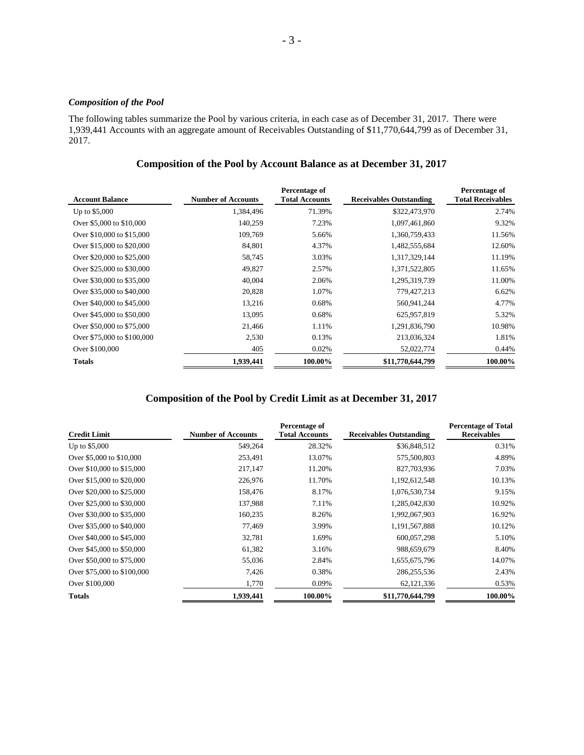## *Composition of the Pool*

The following tables summarize the Pool by various criteria, in each case as of December 31, 2017. There were 1,939,441 Accounts with an aggregate amount of Receivables Outstanding of \$11,770,644,799 as of December 31, 2017.

## **Composition of the Pool by Account Balance as at December 31, 2017**

| <b>Account Balance</b>     | <b>Number of Accounts</b> | Percentage of<br><b>Total Accounts</b> | <b>Receivables Outstanding</b> | Percentage of<br><b>Total Receivables</b> |
|----------------------------|---------------------------|----------------------------------------|--------------------------------|-------------------------------------------|
| Up to \$5,000              | 1,384,496                 | 71.39%                                 | \$322,473,970                  | 2.74%                                     |
| Over \$5,000 to \$10,000   | 140,259                   | 7.23%                                  | 1,097,461,860                  | 9.32%                                     |
| Over \$10,000 to \$15,000  | 109,769                   | 5.66%                                  | 1,360,759,433                  | 11.56%                                    |
| Over \$15,000 to \$20,000  | 84,801                    | 4.37%                                  | 1,482,555,684                  | 12.60%                                    |
| Over \$20,000 to \$25,000  | 58,745                    | 3.03%                                  | 1,317,329,144                  | 11.19%                                    |
| Over \$25,000 to \$30,000  | 49,827                    | 2.57%                                  | 1,371,522,805                  | 11.65%                                    |
| Over \$30,000 to \$35,000  | 40,004                    | 2.06%                                  | 1,295,319,739                  | 11.00%                                    |
| Over \$35,000 to \$40,000  | 20,828                    | 1.07%                                  | 779,427,213                    | 6.62%                                     |
| Over \$40,000 to \$45,000  | 13,216                    | 0.68%                                  | 560,941,244                    | 4.77%                                     |
| Over \$45,000 to \$50,000  | 13.095                    | 0.68%                                  | 625,957,819                    | 5.32%                                     |
| Over \$50,000 to \$75,000  | 21,466                    | 1.11%                                  | 1,291,836,790                  | 10.98%                                    |
| Over \$75,000 to \$100,000 | 2,530                     | 0.13%                                  | 213,036,324                    | 1.81%                                     |
| Over \$100,000             | 405                       | 0.02%                                  | 52,022,774                     | 0.44%                                     |
| <b>Totals</b>              | 1,939,441                 | 100.00%                                | \$11,770,644,799               | 100.00%                                   |

### **Composition of the Pool by Credit Limit as at December 31, 2017**

| <b>Credit Limit</b>        | <b>Number of Accounts</b> | Percentage of<br><b>Total Accounts</b> | <b>Receivables Outstanding</b> | <b>Percentage of Total</b><br><b>Receivables</b> |
|----------------------------|---------------------------|----------------------------------------|--------------------------------|--------------------------------------------------|
| Up to \$5,000              | 549,264                   | 28.32%                                 | \$36,848,512                   | 0.31%                                            |
| Over \$5,000 to \$10,000   | 253,491                   | 13.07%                                 | 575,500,803                    | 4.89%                                            |
| Over \$10,000 to \$15,000  | 217,147                   | 11.20%                                 | 827,703,936                    | 7.03%                                            |
| Over \$15,000 to \$20,000  | 226,976                   | 11.70%                                 | 1,192,612,548                  | 10.13%                                           |
| Over \$20,000 to \$25,000  | 158,476                   | 8.17%                                  | 1,076,530,734                  | 9.15%                                            |
| Over \$25,000 to \$30,000  | 137,988                   | 7.11%                                  | 1,285,042,830                  | 10.92%                                           |
| Over \$30,000 to \$35,000  | 160,235                   | 8.26%                                  | 1,992,067,903                  | 16.92%                                           |
| Over \$35,000 to \$40,000  | 77,469                    | 3.99%                                  | 1,191,567,888                  | 10.12%                                           |
| Over \$40,000 to \$45,000  | 32,781                    | 1.69%                                  | 600,057,298                    | 5.10%                                            |
| Over \$45,000 to \$50,000  | 61,382                    | 3.16%                                  | 988,659,679                    | 8.40%                                            |
| Over \$50,000 to \$75,000  | 55,036                    | 2.84%                                  | 1,655,675,796                  | 14.07%                                           |
| Over \$75,000 to \$100,000 | 7,426                     | 0.38%                                  | 286, 255, 536                  | 2.43%                                            |
| Over \$100,000             | 1,770                     | 0.09%                                  | 62, 121, 336                   | 0.53%                                            |
| <b>Totals</b>              | 1,939,441                 | 100.00%                                | \$11,770,644,799               | 100.00%                                          |